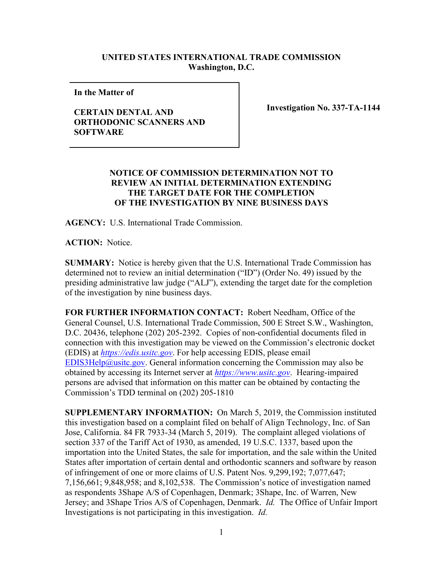## **UNITED STATES INTERNATIONAL TRADE COMMISSION Washington, D.C.**

**In the Matter of** 

## **CERTAIN DENTAL AND ORTHODONIC SCANNERS AND SOFTWARE**

**Investigation No. 337-TA-1144**

## **NOTICE OF COMMISSION DETERMINATION NOT TO REVIEW AN INITIAL DETERMINATION EXTENDING THE TARGET DATE FOR THE COMPLETION OF THE INVESTIGATION BY NINE BUSINESS DAYS**

**AGENCY:** U.S. International Trade Commission.

**ACTION:** Notice.

**SUMMARY:** Notice is hereby given that the U.S. International Trade Commission has determined not to review an initial determination ("ID") (Order No. 49) issued by the presiding administrative law judge ("ALJ"), extending the target date for the completion of the investigation by nine business days.

**FOR FURTHER INFORMATION CONTACT:** Robert Needham, Office of the General Counsel, U.S. International Trade Commission, 500 E Street S.W., Washington, D.C. 20436, telephone (202) 205-2392. Copies of non-confidential documents filed in connection with this investigation may be viewed on the Commission's electronic docket (EDIS) at *[https://edis.usitc.gov](https://edis.usitc.gov/)*. For help accessing EDIS, please email [EDIS3Help@usitc.gov.](mailto:EDIS3Help@usitc.gov) General information concerning the Commission may also be obtained by accessing its Internet server at *[https://www.usitc.gov](https://www.usitc.gov/)*. Hearing-impaired persons are advised that information on this matter can be obtained by contacting the Commission's TDD terminal on (202) 205-1810

**SUPPLEMENTARY INFORMATION:** On March 5, 2019, the Commission instituted this investigation based on a complaint filed on behalf of Align Technology, Inc. of San Jose, California. 84 FR 7933-34 (March 5, 2019). The complaint alleged violations of section 337 of the Tariff Act of 1930, as amended, 19 U.S.C. 1337, based upon the importation into the United States, the sale for importation, and the sale within the United States after importation of certain dental and orthodontic scanners and software by reason of infringement of one or more claims of U.S. Patent Nos. 9,299,192; 7,077,647; 7,156,661; 9,848,958; and 8,102,538. The Commission's notice of investigation named as respondents 3Shape A/S of Copenhagen, Denmark; 3Shape, Inc. of Warren, New Jersey; and 3Shape Trios A/S of Copenhagen, Denmark. *Id.* The Office of Unfair Import Investigations is not participating in this investigation. *Id.*